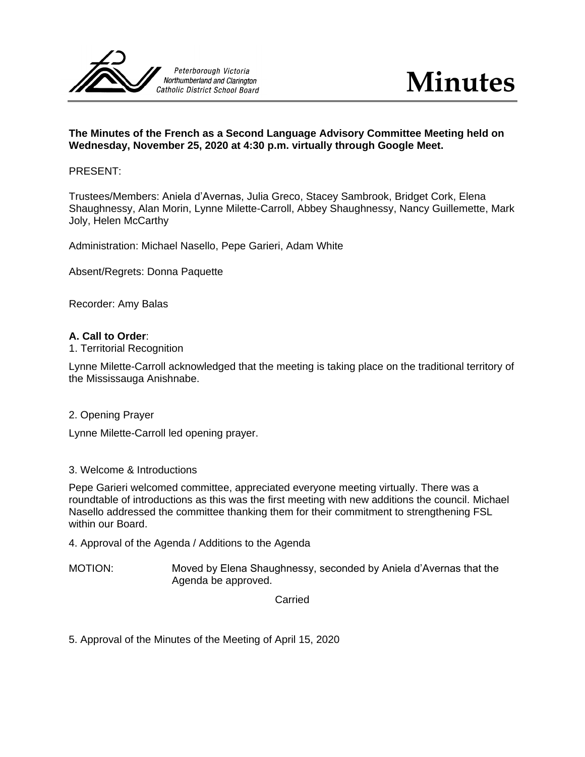

# **The Minutes of the French as a Second Language Advisory Committee Meeting held on Wednesday, November 25, 2020 at 4:30 p.m. virtually through Google Meet.**

### PRESENT:

Trustees/Members: Aniela d'Avernas, Julia Greco, Stacey Sambrook, Bridget Cork, Elena Shaughnessy, Alan Morin, Lynne Milette-Carroll, Abbey Shaughnessy, Nancy Guillemette, Mark Joly, Helen McCarthy

Administration: Michael Nasello, Pepe Garieri, Adam White

Absent/Regrets: Donna Paquette

Recorder: Amy Balas

### **A. Call to Order**:

1. Territorial Recognition

Lynne Milette-Carroll acknowledged that the meeting is taking place on the traditional territory of the Mississauga Anishnabe.

2. Opening Prayer

Lynne Milette-Carroll led opening prayer.

#### 3. Welcome & Introductions

Pepe Garieri welcomed committee, appreciated everyone meeting virtually. There was a roundtable of introductions as this was the first meeting with new additions the council. Michael Nasello addressed the committee thanking them for their commitment to strengthening FSL within our Board.

4. Approval of the Agenda / Additions to the Agenda

MOTION: Moved by Elena Shaughnessy, seconded by Aniela d'Avernas that the Agenda be approved.

Carried

5. Approval of the Minutes of the Meeting of April 15, 2020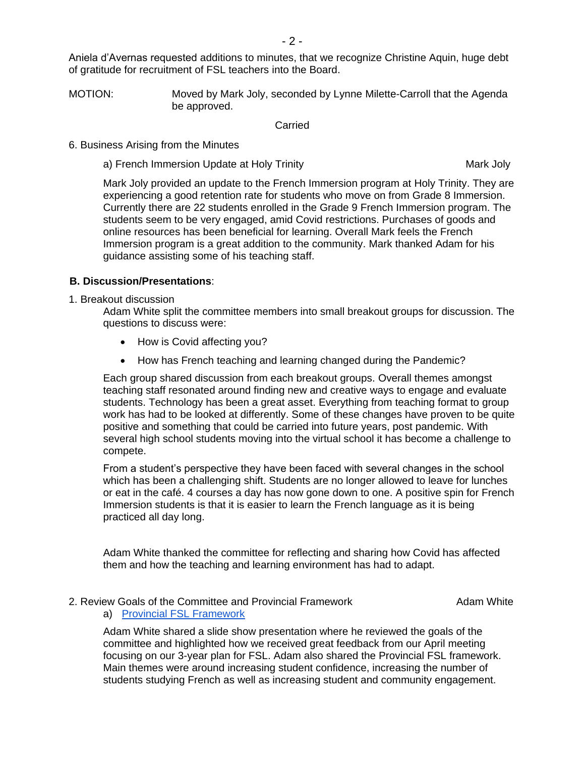Aniela d'Avernas requested additions to minutes, that we recognize Christine Aquin, huge debt of gratitude for recruitment of FSL teachers into the Board.

MOTION: Moved by Mark Joly, seconded by Lynne Milette-Carroll that the Agenda be approved.

Carried

- 6. Business Arising from the Minutes
	- a) French Immersion Update at Holy Trinity Mark Joly Mark Joly

Mark Joly provided an update to the French Immersion program at Holy Trinity. They are experiencing a good retention rate for students who move on from Grade 8 Immersion. Currently there are 22 students enrolled in the Grade 9 French Immersion program. The students seem to be very engaged, amid Covid restrictions. Purchases of goods and online resources has been beneficial for learning. Overall Mark feels the French Immersion program is a great addition to the community. Mark thanked Adam for his guidance assisting some of his teaching staff.

### **B. Discussion/Presentations**:

1. Breakout discussion

Adam White split the committee members into small breakout groups for discussion. The questions to discuss were:

- How is Covid affecting you?
- How has French teaching and learning changed during the Pandemic?

Each group shared discussion from each breakout groups. Overall themes amongst teaching staff resonated around finding new and creative ways to engage and evaluate students. Technology has been a great asset. Everything from teaching format to group work has had to be looked at differently. Some of these changes have proven to be quite positive and something that could be carried into future years, post pandemic. With several high school students moving into the virtual school it has become a challenge to compete.

From a student's perspective they have been faced with several changes in the school which has been a challenging shift. Students are no longer allowed to leave for lunches or eat in the café. 4 courses a day has now gone down to one. A positive spin for French Immersion students is that it is easier to learn the French language as it is being practiced all day long.

Adam White thanked the committee for reflecting and sharing how Covid has affected them and how the teaching and learning environment has had to adapt.

### 2. Review Goals of the Committee and Provincial Framework **Adam White** Adam White

a) [Provincial FSL Framework](http://www.edu.gov.on.ca/eng/amenagement/frameworkfls.pdf)

Adam White shared a slide show presentation where he reviewed the goals of the committee and highlighted how we received great feedback from our April meeting focusing on our 3-year plan for FSL. Adam also shared the Provincial FSL framework. Main themes were around increasing student confidence, increasing the number of students studying French as well as increasing student and community engagement.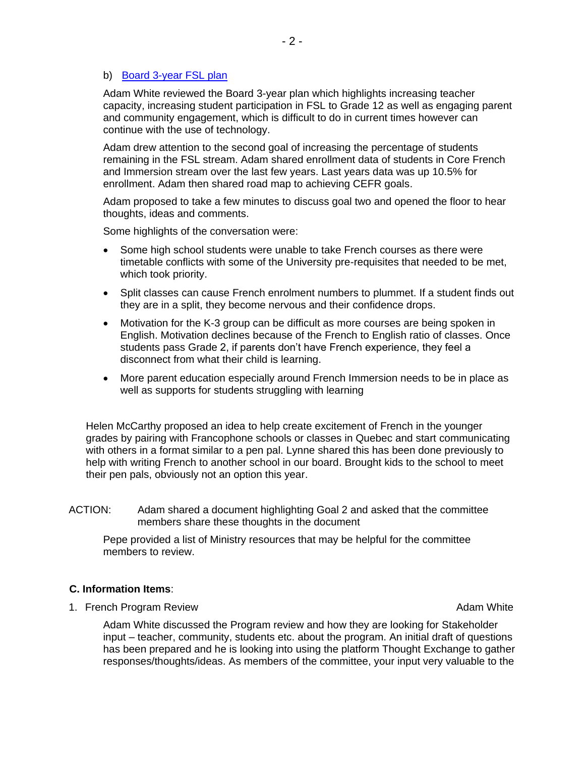# b) [Board 3-year FSL plan](https://docs.google.com/document/d/1hAI9EfweSbHE3_JNoJyISZFE6l8TK12KdvEZPG8Z0yU/edit)

Adam White reviewed the Board 3-year plan which highlights increasing teacher capacity, increasing student participation in FSL to Grade 12 as well as engaging parent and community engagement, which is difficult to do in current times however can continue with the use of technology.

Adam drew attention to the second goal of increasing the percentage of students remaining in the FSL stream. Adam shared enrollment data of students in Core French and Immersion stream over the last few years. Last years data was up 10.5% for enrollment. Adam then shared road map to achieving CEFR goals.

Adam proposed to take a few minutes to discuss goal two and opened the floor to hear thoughts, ideas and comments.

Some highlights of the conversation were:

- Some high school students were unable to take French courses as there were timetable conflicts with some of the University pre-requisites that needed to be met, which took priority.
- Split classes can cause French enrolment numbers to plummet. If a student finds out they are in a split, they become nervous and their confidence drops.
- Motivation for the K-3 group can be difficult as more courses are being spoken in English. Motivation declines because of the French to English ratio of classes. Once students pass Grade 2, if parents don't have French experience, they feel a disconnect from what their child is learning.
- More parent education especially around French Immersion needs to be in place as well as supports for students struggling with learning

Helen McCarthy proposed an idea to help create excitement of French in the younger grades by pairing with Francophone schools or classes in Quebec and start communicating with others in a format similar to a pen pal. Lynne shared this has been done previously to help with writing French to another school in our board. Brought kids to the school to meet their pen pals, obviously not an option this year.

ACTION: Adam shared a document highlighting Goal 2 and asked that the committee members share these thoughts in the document

Pepe provided a list of Ministry resources that may be helpful for the committee members to review.

# **C. Information Items**:

1. French Program Review **Adam White** 1. **French Program Review** Adam White

Adam White discussed the Program review and how they are looking for Stakeholder input – teacher, community, students etc. about the program. An initial draft of questions has been prepared and he is looking into using the platform Thought Exchange to gather responses/thoughts/ideas. As members of the committee, your input very valuable to the